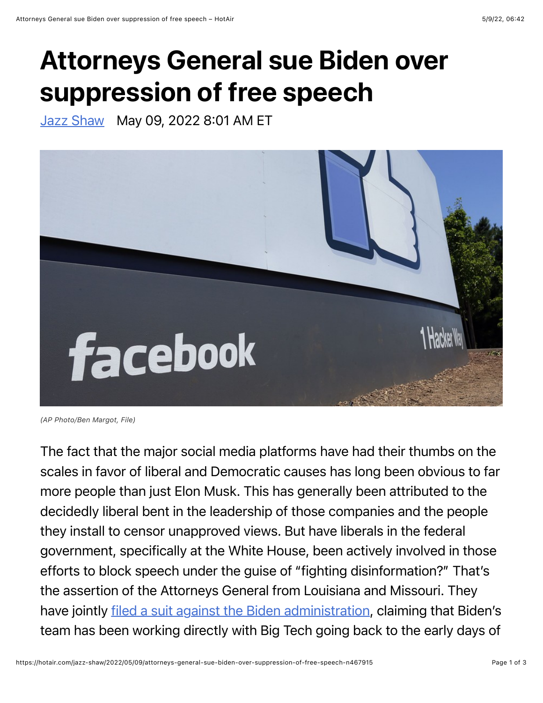## Attorneys General sue Biden over suppression of free speech

[Jazz Shaw](https://hotair.com/author/jazz-shaw) May 09, 2022 8:01 AM ET



*<sup>(</sup>AP Photo/Ben Margot, File)*

The fact that the major social media platforms have had their thumbs on the scales in favor of liberal and Democratic causes has long been obvious to far more people than just Elon Musk. This has generally been attributed to the decidedly liberal bent in the leadership of those companies and the people they install to censor unapproved views. But have liberals in the federal government, specifically at the White House, been actively involved in those efforts to block speech under the guise of "fighting disinformation?" That's the assertion of the Attorneys General from Louisiana and Missouri. They have jointly <u>filed a suit against the Biden administration</u>, claiming that Biden's team has been working directly with Big Tech going back to the early days of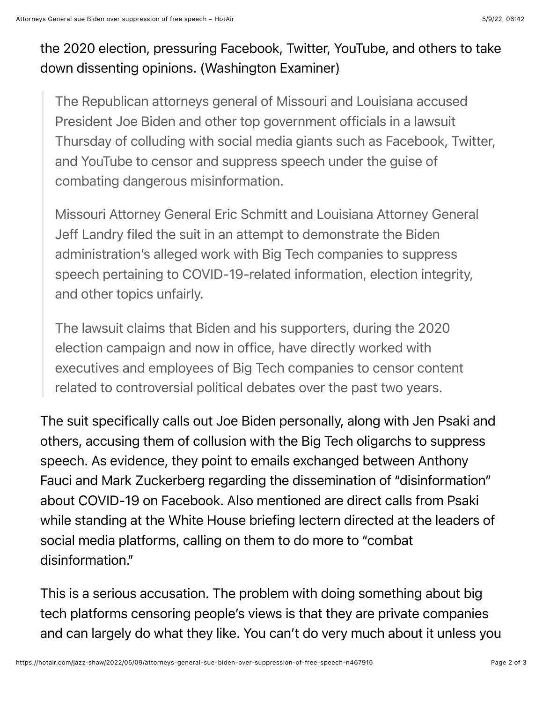## the 2020 election, pressuring Facebook, Twitter, YouTube, and others to take down dissenting opinions. (Washington Examiner)

The Republican attorneys general of Missouri and Louisiana accused President Joe Biden and other top government officials in a lawsuit Thursday of colluding with social media giants such as Facebook, Twitter, and YouTube to censor and suppress speech under the guise of combating dangerous misinformation.

Missouri Attorney General Eric Schmitt and Louisiana Attorney General Jeff Landry filed the suit in an attempt to demonstrate the Biden administration's alleged work with Big Tech companies to suppress speech pertaining to COVID-19-related information, election integrity, and other topics unfairly.

The lawsuit claims that Biden and his supporters, during the 2020 election campaign and now in office, have directly worked with executives and employees of Big Tech companies to censor content related to controversial political debates over the past two years.

The suit specifically calls out Joe Biden personally, along with Jen Psaki and others, accusing them of collusion with the Big Tech oligarchs to suppress speech. As evidence, they point to emails exchanged between Anthony Fauci and Mark Zuckerberg regarding the dissemination of "disinformation" about COVID-19 on Facebook. Also mentioned are direct calls from Psaki while standing at the White House briefing lectern directed at the leaders of social media platforms, calling on them to do more to "combat disinformation."

This is a serious accusation. The problem with doing something about big tech platforms censoring people's views is that they are private companies and can largely do what they like. You can't do very much about it unless you